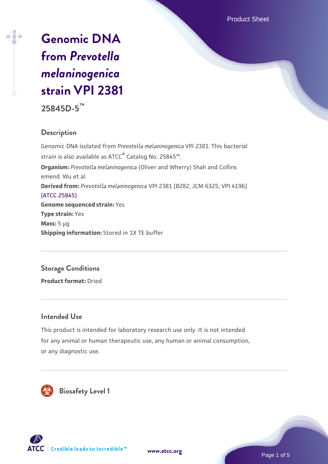Product Sheet

# **[Genomic DNA](https://www.atcc.org/products/25845d-5) [from](https://www.atcc.org/products/25845d-5)** *[Prevotella](https://www.atcc.org/products/25845d-5) [melaninogenica](https://www.atcc.org/products/25845d-5)* **[strain VPI 2381](https://www.atcc.org/products/25845d-5)**

**25845D-5™**

### **Description**

Genomic DNA isolated from *Prevotella melaninogenica* VPI 2381. This bacterial strain is also available as ATCC® Catalog No. 25845™. **Organism:** *Prevotella melaninogenica* (Oliver and Wherry) Shah and Collins emend. Wu et al. **Derived from:** *Prevotella melaninogenica* VPI 2381 [B282, JCM 6325, VPI 4196] [\(ATCC 25845\)](https://www.atcc.org/products/25845) **Genome sequenced strain:** Yes **Type strain:** Yes **Mass:** 5 µg **Shipping information:** Stored in 1X TE buffer

## **Storage Conditions**

**Product format:** Dried

#### **Intended Use**

This product is intended for laboratory research use only. It is not intended for any animal or human therapeutic use, any human or animal consumption, or any diagnostic use.



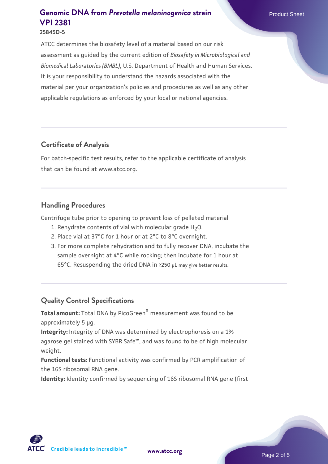ATCC determines the biosafety level of a material based on our risk assessment as guided by the current edition of *Biosafety in Microbiological and Biomedical Laboratories (BMBL)*, U.S. Department of Health and Human Services. It is your responsibility to understand the hazards associated with the material per your organization's policies and procedures as well as any other applicable regulations as enforced by your local or national agencies.

#### **Certificate of Analysis**

For batch-specific test results, refer to the applicable certificate of analysis that can be found at www.atcc.org.

#### **Handling Procedures**

Centrifuge tube prior to opening to prevent loss of pelleted material

- 1. Rehydrate contents of vial with molecular grade  $H_2O$ .
- 2. Place vial at 37°C for 1 hour or at 2°C to 8°C overnight.
- 3. For more complete rehydration and to fully recover DNA, incubate the sample overnight at 4°C while rocking; then incubate for 1 hour at 65°C. Resuspending the dried DNA in ≥250 µL may give better results.

### **Quality Control Specifications**

**Total amount:** Total DNA by PicoGreen® measurement was found to be approximately 5 µg.

**Integrity:** Integrity of DNA was determined by electrophoresis on a 1% agarose gel stained with SYBR Safe™, and was found to be of high molecular weight.

**Functional tests:** Functional activity was confirmed by PCR amplification of the 16S ribosomal RNA gene.

**Identity:** Identity confirmed by sequencing of 16S ribosomal RNA gene (first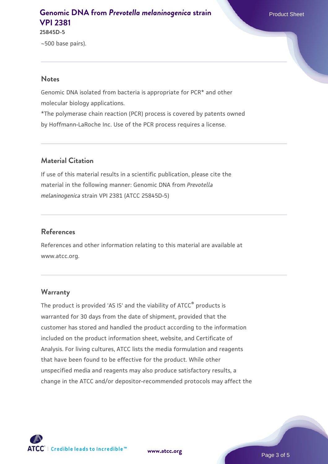**25845D-5**

~500 base pairs).

#### **Notes**

Genomic DNA isolated from bacteria is appropriate for PCR\* and other molecular biology applications.

\*The polymerase chain reaction (PCR) process is covered by patents owned by Hoffmann-LaRoche Inc. Use of the PCR process requires a license.

#### **Material Citation**

If use of this material results in a scientific publication, please cite the material in the following manner: Genomic DNA from *Prevotella melaninogenica* strain VPI 2381 (ATCC 25845D-5)

#### **References**

References and other information relating to this material are available at www.atcc.org.

#### **Warranty**

The product is provided 'AS IS' and the viability of ATCC® products is warranted for 30 days from the date of shipment, provided that the customer has stored and handled the product according to the information included on the product information sheet, website, and Certificate of Analysis. For living cultures, ATCC lists the media formulation and reagents that have been found to be effective for the product. While other unspecified media and reagents may also produce satisfactory results, a change in the ATCC and/or depositor-recommended protocols may affect the



**[www.atcc.org](http://www.atcc.org)**

Page 3 of 5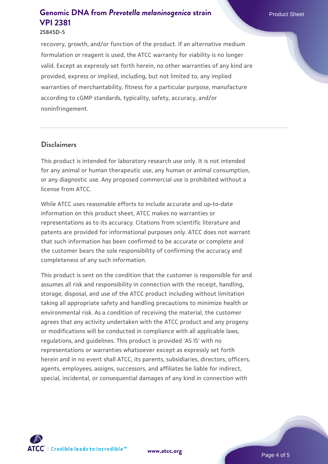#### **25845D-5**

recovery, growth, and/or function of the product. If an alternative medium formulation or reagent is used, the ATCC warranty for viability is no longer valid. Except as expressly set forth herein, no other warranties of any kind are provided, express or implied, including, but not limited to, any implied warranties of merchantability, fitness for a particular purpose, manufacture according to cGMP standards, typicality, safety, accuracy, and/or noninfringement.

#### **Disclaimers**

This product is intended for laboratory research use only. It is not intended for any animal or human therapeutic use, any human or animal consumption, or any diagnostic use. Any proposed commercial use is prohibited without a license from ATCC.

While ATCC uses reasonable efforts to include accurate and up-to-date information on this product sheet, ATCC makes no warranties or representations as to its accuracy. Citations from scientific literature and patents are provided for informational purposes only. ATCC does not warrant that such information has been confirmed to be accurate or complete and the customer bears the sole responsibility of confirming the accuracy and completeness of any such information.

This product is sent on the condition that the customer is responsible for and assumes all risk and responsibility in connection with the receipt, handling, storage, disposal, and use of the ATCC product including without limitation taking all appropriate safety and handling precautions to minimize health or environmental risk. As a condition of receiving the material, the customer agrees that any activity undertaken with the ATCC product and any progeny or modifications will be conducted in compliance with all applicable laws, regulations, and guidelines. This product is provided 'AS IS' with no representations or warranties whatsoever except as expressly set forth herein and in no event shall ATCC, its parents, subsidiaries, directors, officers, agents, employees, assigns, successors, and affiliates be liable for indirect, special, incidental, or consequential damages of any kind in connection with